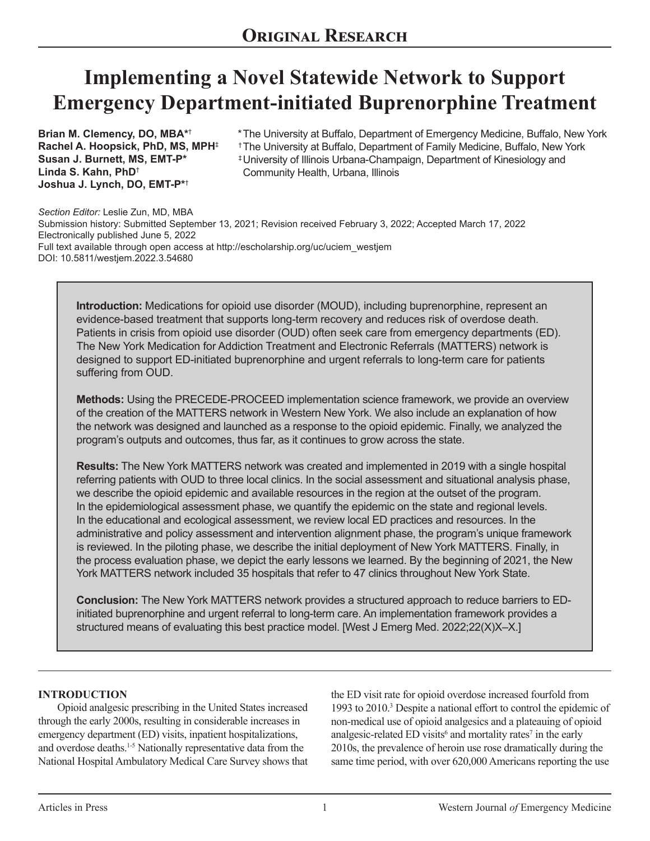# **Implementing a Novel Statewide Network to Support Emergency Department-initiated Buprenorphine Treatment**

**Brian M. Clemency, DO, MBA\***† **Rachel A. Hoopsick, PhD, MS, MPH**‡ **Susan J. Burnett, MS, EMT-P\* Linda S. Kahn, PhD**† **Joshua J. Lynch, DO, EMT-P\***†

- \* The University at Buffalo, Department of Emergency Medicine, Buffalo, New York  $^\dagger$ The University at Buffalo, Department of Family Medicine, Buffalo, New York ‡University of Illinois Urbana-Champaign, Department of Kinesiology and
- Community Health, Urbana, Illinois

*Section Editor:* Leslie Zun, MD, MBA Submission history: Submitted September 13, 2021; Revision received February 3, 2022; Accepted March 17, 2022 Electronically published June 5, 2022 Full text available through open access at http://escholarship.org/uc/uciem\_westjem DOI: 10.5811/westjem.2022.3.54680

**Introduction:** Medications for opioid use disorder (MOUD), including buprenorphine, represent an evidence-based treatment that supports long-term recovery and reduces risk of overdose death. Patients in crisis from opioid use disorder (OUD) often seek care from emergency departments (ED). The New York Medication for Addiction Treatment and Electronic Referrals (MATTERS) network is designed to support ED-initiated buprenorphine and urgent referrals to long-term care for patients suffering from OUD.

**Methods:** Using the PRECEDE-PROCEED implementation science framework, we provide an overview of the creation of the MATTERS network in Western New York. We also include an explanation of how the network was designed and launched as a response to the opioid epidemic. Finally, we analyzed the program's outputs and outcomes, thus far, as it continues to grow across the state.

**Results:** The New York MATTERS network was created and implemented in 2019 with a single hospital referring patients with OUD to three local clinics. In the social assessment and situational analysis phase, we describe the opioid epidemic and available resources in the region at the outset of the program. In the epidemiological assessment phase, we quantify the epidemic on the state and regional levels. In the educational and ecological assessment, we review local ED practices and resources. In the administrative and policy assessment and intervention alignment phase, the program's unique framework is reviewed. In the piloting phase, we describe the initial deployment of New York MATTERS. Finally, in the process evaluation phase, we depict the early lessons we learned. By the beginning of 2021, the New York MATTERS network included 35 hospitals that refer to 47 clinics throughout New York State.

**Conclusion:** The New York MATTERS network provides a structured approach to reduce barriers to EDinitiated buprenorphine and urgent referral to long-term care. An implementation framework provides a structured means of evaluating this best practice model. [West J Emerg Med. 2022;22 $(X|X-X)$ ]

#### **INTRODUCTION**

Opioid analgesic prescribing in the United States increased through the early 2000s, resulting in considerable increases in emergency department (ED) visits, inpatient hospitalizations, and overdose deaths.<sup>1-5</sup> Nationally representative data from the National Hospital Ambulatory Medical Care Survey shows that the ED visit rate for opioid overdose increased fourfold from 1993 to 2010.<sup>3</sup> Despite a national effort to control the epidemic of non-medical use of opioid analgesics and a plateauing of opioid analgesic-related ED visits<sup>6</sup> and mortality rates<sup>7</sup> in the early 2010s, the prevalence of heroin use rose dramatically during the same time period, with over 620,000 Americans reporting the use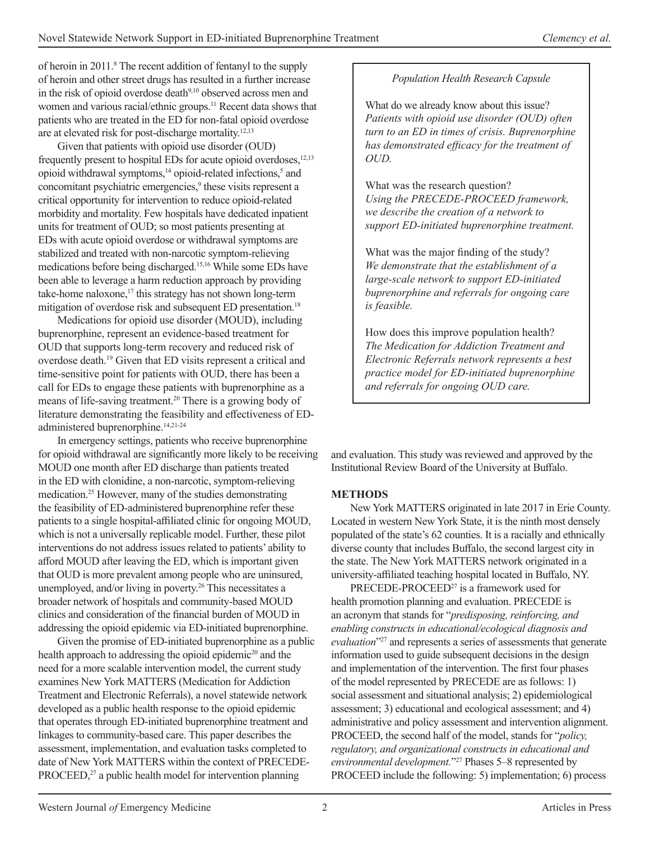of heroin in 2011.<sup>8</sup> The recent addition of fentanyl to the supply of heroin and other street drugs has resulted in a further increase in the risk of opioid overdose death<sup>9,10</sup> observed across men and women and various racial/ethnic groups.<sup>11</sup> Recent data shows that patients who are treated in the ED for non-fatal opioid overdose are at elevated risk for post-discharge mortality.12,13

Given that patients with opioid use disorder (OUD) frequently present to hospital EDs for acute opioid overdoses,  $12,13$ opioid withdrawal symptoms,<sup>14</sup> opioid-related infections,<sup>5</sup> and concomitant psychiatric emergencies,<sup>9</sup> these visits represent a critical opportunity for intervention to reduce opioid-related morbidity and mortality. Few hospitals have dedicated inpatient units for treatment of OUD; so most patients presenting at EDs with acute opioid overdose or withdrawal symptoms are stabilized and treated with non-narcotic symptom-relieving medications before being discharged.15,16 While some EDs have been able to leverage a harm reduction approach by providing take-home naloxone, $17$  this strategy has not shown long-term mitigation of overdose risk and subsequent ED presentation.<sup>18</sup>

Medications for opioid use disorder (MOUD), including buprenorphine, represent an evidence-based treatment for OUD that supports long-term recovery and reduced risk of overdose death.19 Given that ED visits represent a critical and time-sensitive point for patients with OUD, there has been a call for EDs to engage these patients with buprenorphine as a means of life-saving treatment.20 There is a growing body of literature demonstrating the feasibility and effectiveness of EDadministered buprenorphine.<sup>14,21-24</sup>

In emergency settings, patients who receive buprenorphine for opioid withdrawal are significantly more likely to be receiving MOUD one month after ED discharge than patients treated in the ED with clonidine, a non-narcotic, symptom-relieving medication.<sup>25</sup> However, many of the studies demonstrating the feasibility of ED-administered buprenorphine refer these patients to a single hospital-affiliated clinic for ongoing MOUD, which is not a universally replicable model. Further, these pilot interventions do not address issues related to patients' ability to afford MOUD after leaving the ED, which is important given that OUD is more prevalent among people who are uninsured, unemployed, and/or living in poverty.<sup>26</sup> This necessitates a broader network of hospitals and community-based MOUD clinics and consideration of the financial burden of MOUD in addressing the opioid epidemic via ED-initiated buprenorphine.

Given the promise of ED-initiated buprenorphine as a public health approach to addressing the opioid epidemic<sup>20</sup> and the need for a more scalable intervention model, the current study examines New York MATTERS (Medication for Addiction Treatment and Electronic Referrals), a novel statewide network developed as a public health response to the opioid epidemic that operates through ED-initiated buprenorphine treatment and linkages to community-based care. This paper describes the assessment, implementation, and evaluation tasks completed to date of New York MATTERS within the context of PRECEDE-PROCEED,<sup>27</sup> a public health model for intervention planning

# *Population Health Research Capsule*

What do we already know about this issue? *Patients with opioid use disorder (OUD) often turn to an ED in times of crisis. Buprenorphine*  has demonstrated efficacy for the treatment of *OUD.* 

What was the research question? *Using the PRECEDE-PROCEED framework, we describe the creation of a network to support ED-initiated buprenorphine treatment.*

What was the major finding of the study? *We demonstrate that the establishment of a large-scale network to support ED-initiated buprenorphine and referrals for ongoing care is feasible.*

How does this improve population health? *The Medication for Addiction Treatment and Electronic Referrals network represents a best practice model for ED-initiated buprenorphine and referrals for ongoing OUD care.*

and evaluation. This study was reviewed and approved by the Institutional Review Board of the University at Buffalo.

# **METHODS**

New York MATTERS originated in late 2017 in Erie County. Located in western New York State, it is the ninth most densely populated of the state's 62 counties. It is a racially and ethnically diverse county that includes Buffalo, the second largest city in the state. The New York MATTERS network originated in a university-affiliated teaching hospital located in Buffalo, NY.

PRECEDE-PROCEED<sup>27</sup> is a framework used for health promotion planning and evaluation. PRECEDE is an acronym that stands for "*predisposing, reinforcing, and enabling constructs in educational/ecological diagnosis and evaluation*"27 and represents a series of assessments that generate information used to guide subsequent decisions in the design and implementation of the intervention. The first four phases of the model represented by PRECEDE are as follows: 1) social assessment and situational analysis; 2) epidemiological assessment; 3) educational and ecological assessment; and 4) administrative and policy assessment and intervention alignment. PROCEED, the second half of the model, stands for "*policy*, *regulatory, and organizational constructs in educational and environmental development.*"27 Phases 5–8 represented by PROCEED include the following: 5) implementation; 6) process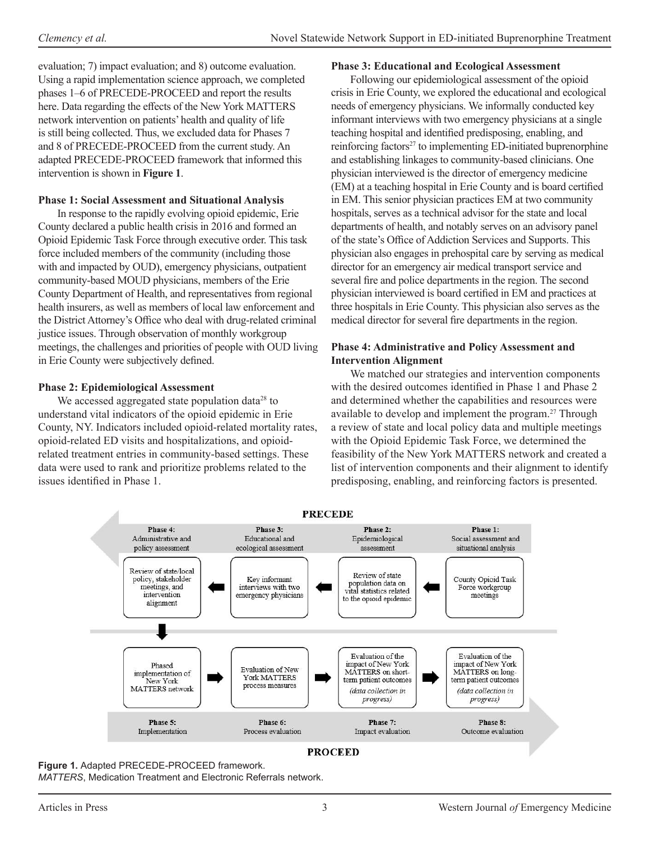evaluation; 7) impact evaluation; and 8) outcome evaluation. Using a rapid implementation science approach, we completed phases 1–6 of PRECEDE-PROCEED and report the results here. Data regarding the effects of the New York MATTERS network intervention on patients' health and quality of life is still being collected. Thus, we excluded data for Phases 7 and 8 of PRECEDE-PROCEED from the current study. An adapted PRECEDE-PROCEED framework that informed this intervention is shown in **Figure 1**.

# **Phase 1: Social Assessment and Situational Analysis**

In response to the rapidly evolving opioid epidemic, Erie County declared a public health crisis in 2016 and formed an Opioid Epidemic Task Force through executive order. This task force included members of the community (including those with and impacted by OUD), emergency physicians, outpatient community-based MOUD physicians, members of the Erie County Department of Health, and representatives from regional health insurers, as well as members of local law enforcement and the District Attorney's Office who deal with drug-related criminal justice issues. Through observation of monthly workgroup meetings, the challenges and priorities of people with OUD living in Erie County were subjectively defined.

# **Phase 2: Epidemiological Assessment**

We accessed aggregated state population data<sup>28</sup> to understand vital indicators of the opioid epidemic in Erie County, NY. Indicators included opioid-related mortality rates, opioid-related ED visits and hospitalizations, and opioidrelated treatment entries in community-based settings. These data were used to rank and prioritize problems related to the issues identified in Phase 1.

# **Phase 3: Educational and Ecological Assessment**

Following our epidemiological assessment of the opioid crisis in Erie County, we explored the educational and ecological needs of emergency physicians. We informally conducted key informant interviews with two emergency physicians at a single teaching hospital and identified predisposing, enabling, and reinforcing factors<sup>27</sup> to implementing ED-initiated buprenorphine and establishing linkages to community-based clinicians. One physician interviewed is the director of emergency medicine (EM) at a teaching hospital in Erie County and is board certified in EM. This senior physician practices EM at two community hospitals, serves as a technical advisor for the state and local departments of health, and notably serves on an advisory panel of the state's Office of Addiction Services and Supports. This physician also engages in prehospital care by serving as medical director for an emergency air medical transport service and several fire and police departments in the region. The second physician interviewed is board certified in EM and practices at three hospitals in Erie County. This physician also serves as the medical director for several fire departments in the region.

#### **Phase 4: Administrative and Policy Assessment and Intervention Alignment**

We matched our strategies and intervention components with the desired outcomes identified in Phase 1 and Phase 2 and determined whether the capabilities and resources were available to develop and implement the program.<sup>27</sup> Through a review of state and local policy data and multiple meetings with the Opioid Epidemic Task Force, we determined the feasibility of the New York MATTERS network and created a list of intervention components and their alignment to identify predisposing, enabling, and reinforcing factors is presented.



Figure 1. Adapted PRECEDE-PROCEED framework.

*MATTERS*, Medication Treatment and Electronic Referrals network.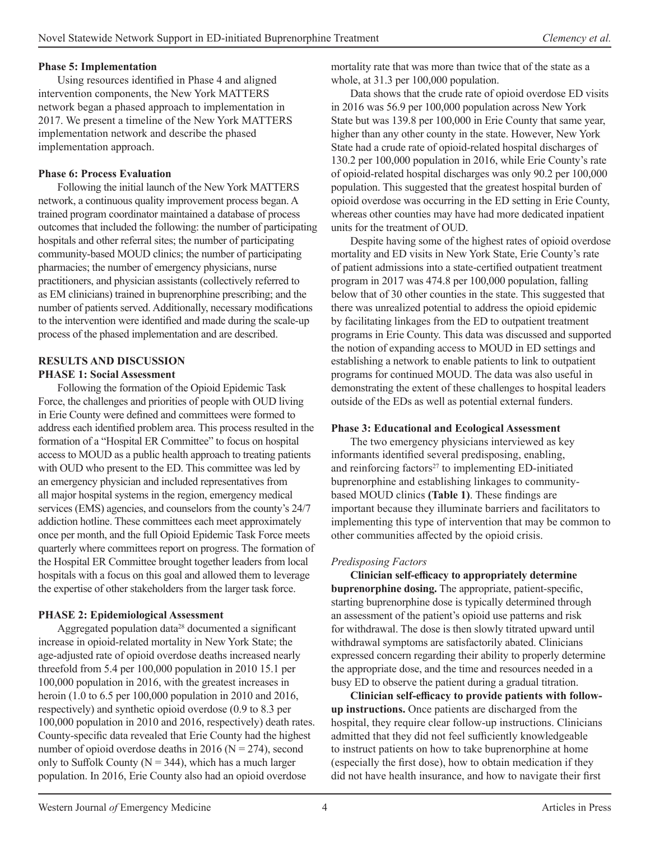#### **Phase 5: Implementation**

Using resources identified in Phase 4 and aligned intervention components, the New York MATTERS network began a phased approach to implementation in 2017. We present a timeline of the New York MATTERS implementation network and describe the phased implementation approach.

#### **Phase 6: Process Evaluation**

Following the initial launch of the New York MATTERS network, a continuous quality improvement process began. A trained program coordinator maintained a database of process outcomes that included the following: the number of participating hospitals and other referral sites; the number of participating community-based MOUD clinics; the number of participating pharmacies; the number of emergency physicians, nurse practitioners, and physician assistants (collectively referred to as EM clinicians) trained in buprenorphine prescribing; and the number of patients served. Additionally, necessary modifications to the intervention were identified and made during the scale-up process of the phased implementation and are described.

#### **RESULTS AND DISCUSSION PHASE 1: Social Assessment**

Following the formation of the Opioid Epidemic Task Force, the challenges and priorities of people with OUD living in Erie County were defined and committees were formed to address each identified problem area. This process resulted in the formation of a "Hospital ER Committee" to focus on hospital access to MOUD as a public health approach to treating patients with OUD who present to the ED. This committee was led by an emergency physician and included representatives from all major hospital systems in the region, emergency medical services (EMS) agencies, and counselors from the county's 24/7 addiction hotline. These committees each meet approximately once per month, and the full Opioid Epidemic Task Force meets quarterly where committees report on progress. The formation of the Hospital ER Committee brought together leaders from local hospitals with a focus on this goal and allowed them to leverage the expertise of other stakeholders from the larger task force.

# **PHASE 2: Epidemiological Assessment**

Aggregated population data<sup>28</sup> documented a significant increase in opioid-related mortality in New York State; the age-adjusted rate of opioid overdose deaths increased nearly threefold from 5.4 per 100,000 population in 2010 15.1 per 100,000 population in 2016, with the greatest increases in heroin (1.0 to 6.5 per 100,000 population in 2010 and 2016, respectively) and synthetic opioid overdose (0.9 to 8.3 per 100,000 population in 2010 and 2016, respectively) death rates. County-specific data revealed that Erie County had the highest number of opioid overdose deaths in 2016 ( $N = 274$ ), second only to Suffolk County ( $N = 344$ ), which has a much larger population. In 2016, Erie County also had an opioid overdose

mortality rate that was more than twice that of the state as a whole, at 31.3 per 100,000 population.

Data shows that the crude rate of opioid overdose ED visits in 2016 was 56.9 per 100,000 population across New York State but was 139.8 per 100,000 in Erie County that same year, higher than any other county in the state. However, New York State had a crude rate of opioid-related hospital discharges of 130.2 per 100,000 population in 2016, while Erie County's rate of opioid-related hospital discharges was only 90.2 per 100,000 population. This suggested that the greatest hospital burden of opioid overdose was occurring in the ED setting in Erie County, whereas other counties may have had more dedicated inpatient units for the treatment of OUD.

Despite having some of the highest rates of opioid overdose mortality and ED visits in New York State, Erie County's rate of patient admissions into a state-certified outpatient treatment program in 2017 was 474.8 per 100,000 population, falling below that of 30 other counties in the state. This suggested that there was unrealized potential to address the opioid epidemic by facilitating linkages from the ED to outpatient treatment programs in Erie County. This data was discussed and supported the notion of expanding access to MOUD in ED settings and establishing a network to enable patients to link to outpatient programs for continued MOUD. The data was also useful in demonstrating the extent of these challenges to hospital leaders outside of the EDs as well as potential external funders.

#### **Phase 3: Educational and Ecological Assessment**

The two emergency physicians interviewed as key informants identified several predisposing, enabling, and reinforcing factors $27$  to implementing ED-initiated buprenorphine and establishing linkages to communitybased MOUD clinics (Table 1). These findings are important because they illuminate barriers and facilitators to implementing this type of intervention that may be common to other communities affected by the opioid crisis.

# *Predisposing Factors*

Clinician self-efficacy to appropriately determine buprenorphine dosing. The appropriate, patient-specific, starting buprenorphine dose is typically determined through an assessment of the patient's opioid use patterns and risk for withdrawal. The dose is then slowly titrated upward until withdrawal symptoms are satisfactorily abated. Clinicians expressed concern regarding their ability to properly determine the appropriate dose, and the time and resources needed in a busy ED to observe the patient during a gradual titration.

Clinician self-efficacy to provide patients with follow**up instructions.** Once patients are discharged from the hospital, they require clear follow-up instructions. Clinicians admitted that they did not feel sufficiently knowledgeable to instruct patients on how to take buprenorphine at home (especially the first dose), how to obtain medication if they did not have health insurance, and how to navigate their first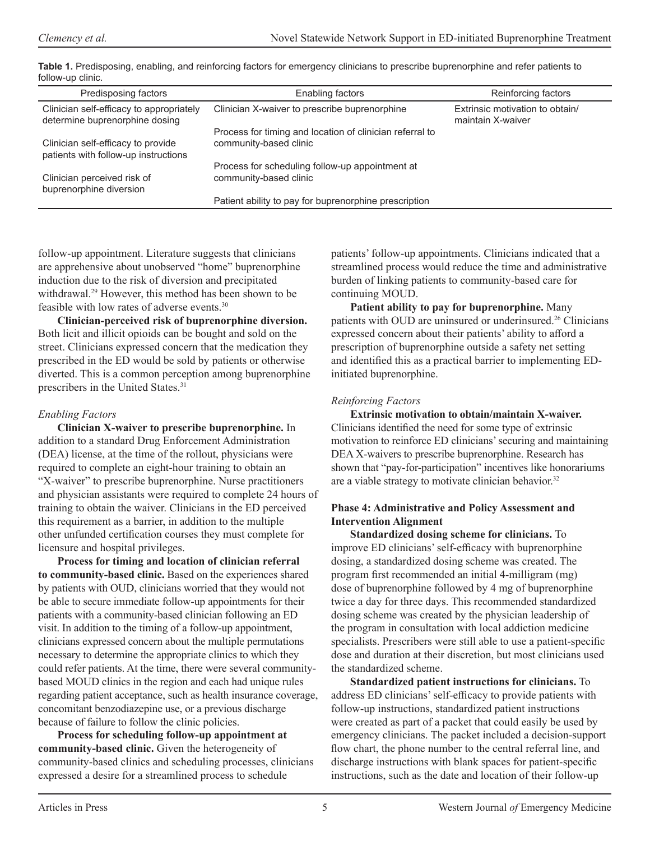| Predisposing factors                                                       | Enabling factors                                                                   | Reinforcing factors                                  |
|----------------------------------------------------------------------------|------------------------------------------------------------------------------------|------------------------------------------------------|
| Clinician self-efficacy to appropriately<br>determine buprenorphine dosing | Clinician X-waiver to prescribe buprenorphine                                      | Extrinsic motivation to obtain/<br>maintain X-waiver |
| Clinician self-efficacy to provide<br>patients with follow-up instructions | Process for timing and location of clinician referral to<br>community-based clinic |                                                      |
| Clinician perceived risk of<br>buprenorphine diversion                     | Process for scheduling follow-up appointment at<br>community-based clinic          |                                                      |
|                                                                            | Patient ability to pay for buprenorphine prescription                              |                                                      |

Table 1. Predisposing, enabling, and reinforcing factors for emergency clinicians to prescribe buprenorphine and refer patients to follow-up clinic.

follow-up appointment. Literature suggests that clinicians are apprehensive about unobserved "home" buprenorphine induction due to the risk of diversion and precipitated withdrawal.<sup>29</sup> However, this method has been shown to be feasible with low rates of adverse events.30

Clinician-perceived risk of buprenorphine diversion. Both licit and illicit opioids can be bought and sold on the street. Clinicians expressed concern that the medication they prescribed in the ED would be sold by patients or otherwise diverted. This is a common perception among buprenorphine prescribers in the United States.<sup>31</sup>

# *Enabling Factors*

**Clinician X-waiver to prescribe buprenorphine.** In addition to a standard Drug Enforcement Administration (DEA) license, at the time of the rollout, physicians were required to complete an eight-hour training to obtain an "X-waiver" to prescribe buprenorphine. Nurse practitioners and physician assistants were required to complete 24 hours of training to obtain the waiver. Clinicians in the ED perceived this requirement as a barrier, in addition to the multiple other unfunded certification courses they must complete for licensure and hospital privileges.

Process for timing and location of clinician referral to community-based clinic. Based on the experiences shared by patients with OUD, clinicians worried that they would not be able to secure immediate follow-up appointments for their patients with a community-based clinician following an ED visit. In addition to the timing of a follow-up appointment, clinicians expressed concern about the multiple permutations necessary to determine the appropriate clinics to which they could refer patients. At the time, there were several communitybased MOUD clinics in the region and each had unique rules regarding patient acceptance, such as health insurance coverage, concomitant benzodiazepine use, or a previous discharge because of failure to follow the clinic policies.

Process for scheduling follow-up appointment at community-based clinic. Given the heterogeneity of community-based clinics and scheduling processes, clinicians expressed a desire for a streamlined process to schedule

patients' follow-up appointments. Clinicians indicated that a streamlined process would reduce the time and administrative burden of linking patients to community-based care for continuing MOUD.

Patient ability to pay for buprenorphine. Many patients with OUD are uninsured or underinsured.26 Clinicians expressed concern about their patients' ability to afford a prescription of buprenorphine outside a safety net setting and identified this as a practical barrier to implementing EDinitiated buprenorphine.

# *Reinforcing Factors*

**Extrinsic motivation to obtain/maintain X-waiver.** Clinicians identified the need for some type of extrinsic motivation to reinforce ED clinicians' securing and maintaining DEA X-waivers to prescribe buprenorphine. Research has shown that "pay-for-participation" incentives like honorariums are a viable strategy to motivate clinician behavior.<sup>32</sup>

# Phase 4: Administrative and Policy Assessment and **Intervention Alignment**

**Standardized dosing scheme for clinicians.** To improve ED clinicians' self-efficacy with buprenorphine dosing, a standardized dosing scheme was created. The program first recommended an initial 4-milligram (mg) dose of buprenorphine followed by 4 mg of buprenorphine twice a day for three days. This recommended standardized dosing scheme was created by the physician leadership of the program in consultation with local addiction medicine specialists. Prescribers were still able to use a patient-specific dose and duration at their discretion, but most clinicians used the standardized scheme.

**Standardized patient instructions for clinicians.** To address ED clinicians' self-efficacy to provide patients with follow-up instructions, standardized patient instructions were created as part of a packet that could easily be used by emergency clinicians. The packet included a decision-support flow chart, the phone number to the central referral line, and discharge instructions with blank spaces for patient-specific instructions, such as the date and location of their follow-up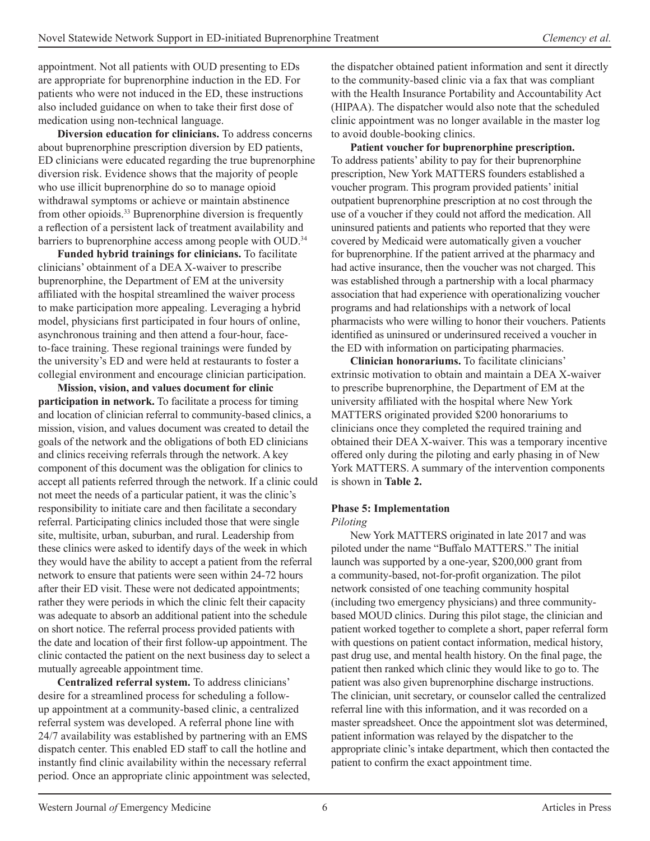appointment. Not all patients with OUD presenting to EDs are appropriate for buprenorphine induction in the ED. For patients who were not induced in the ED, these instructions also included guidance on when to take their first dose of medication using non-technical language.

**Diversion education for clinicians.** To address concerns about buprenorphine prescription diversion by ED patients, ED clinicians were educated regarding the true buprenorphine diversion risk. Evidence shows that the majority of people who use illicit buprenorphine do so to manage opioid withdrawal symptoms or achieve or maintain abstinence from other opioids.<sup>33</sup> Buprenorphine diversion is frequently a reflection of a persistent lack of treatment availability and barriers to buprenorphine access among people with OUD.<sup>34</sup>

**Funded hybrid trainings for clinicians.** To facilitate clinicians' obtainment of a DEA X-waiver to prescribe buprenorphine, the Department of EM at the university affiliated with the hospital streamlined the waiver process to make participation more appealing. Leveraging a hybrid model, physicians first participated in four hours of online, asynchronous training and then attend a four-hour, faceto-face training. These regional trainings were funded by the university's ED and were held at restaurants to foster a collegial environment and encourage clinician participation.

**Mission, vision, and values document for clinic participation in network.** To facilitate a process for timing and location of clinician referral to community-based clinics, a mission, vision, and values document was created to detail the goals of the network and the obligations of both ED clinicians and clinics receiving referrals through the network. A key component of this document was the obligation for clinics to accept all patients referred through the network. If a clinic could not meet the needs of a particular patient, it was the clinic's responsibility to initiate care and then facilitate a secondary referral. Participating clinics included those that were single site, multisite, urban, suburban, and rural. Leadership from these clinics were asked to identify days of the week in which they would have the ability to accept a patient from the referral network to ensure that patients were seen within 24-72 hours after their ED visit. These were not dedicated appointments; rather they were periods in which the clinic felt their capacity was adequate to absorb an additional patient into the schedule on short notice. The referral process provided patients with the date and location of their first follow-up appointment. The clinic contacted the patient on the next business day to select a mutually agreeable appointment time.

Centralized referral system. To address clinicians' desire for a streamlined process for scheduling a followup appointment at a community-based clinic, a centralized referral system was developed. A referral phone line with 24/7 availability was established by partnering with an EMS dispatch center. This enabled ED staff to call the hotline and instantly find clinic availability within the necessary referral period. Once an appropriate clinic appointment was selected, the dispatcher obtained patient information and sent it directly to the community-based clinic via a fax that was compliant with the Health Insurance Portability and Accountability Act (HIPAA). The dispatcher would also note that the scheduled clinic appointment was no longer available in the master log to avoid double-booking clinics.

Patient voucher for buprenorphine prescription. To address patients' ability to pay for their buprenorphine prescription, New York MATTERS founders established a voucher program. This program provided patients' initial outpatient buprenorphine prescription at no cost through the use of a voucher if they could not afford the medication. All uninsured patients and patients who reported that they were covered by Medicaid were automatically given a voucher for buprenorphine. If the patient arrived at the pharmacy and had active insurance, then the voucher was not charged. This was established through a partnership with a local pharmacy association that had experience with operationalizing voucher programs and had relationships with a network of local pharmacists who were willing to honor their vouchers. Patients identified as uninsured or underinsured received a voucher in the ED with information on participating pharmacies.

Clinician honorariums. To facilitate clinicians' extrinsic motivation to obtain and maintain a DEA X-waiver to prescribe buprenorphine, the Department of EM at the university affiliated with the hospital where New York MATTERS originated provided \$200 honorariums to clinicians once they completed the required training and obtained their DEA X-waiver. This was a temporary incentive offered only during the piloting and early phasing in of New York MATTERS. A summary of the intervention components is shown in **Table 2.** 

# **Phase 5: Implementation**

#### *Piloting*

New York MATTERS originated in late 2017 and was piloted under the name "Buffalo MATTERS." The initial launch was supported by a one-year, \$200,000 grant from a community-based, not-for-profit organization. The pilot network consisted of one teaching community hospital (including two emergency physicians) and three communitybased MOUD clinics. During this pilot stage, the clinician and patient worked together to complete a short, paper referral form with questions on patient contact information, medical history, past drug use, and mental health history. On the final page, the patient then ranked which clinic they would like to go to. The patient was also given buprenorphine discharge instructions. The clinician, unit secretary, or counselor called the centralized referral line with this information, and it was recorded on a master spreadsheet. Once the appointment slot was determined, patient information was relayed by the dispatcher to the appropriate clinic's intake department, which then contacted the patient to confirm the exact appointment time.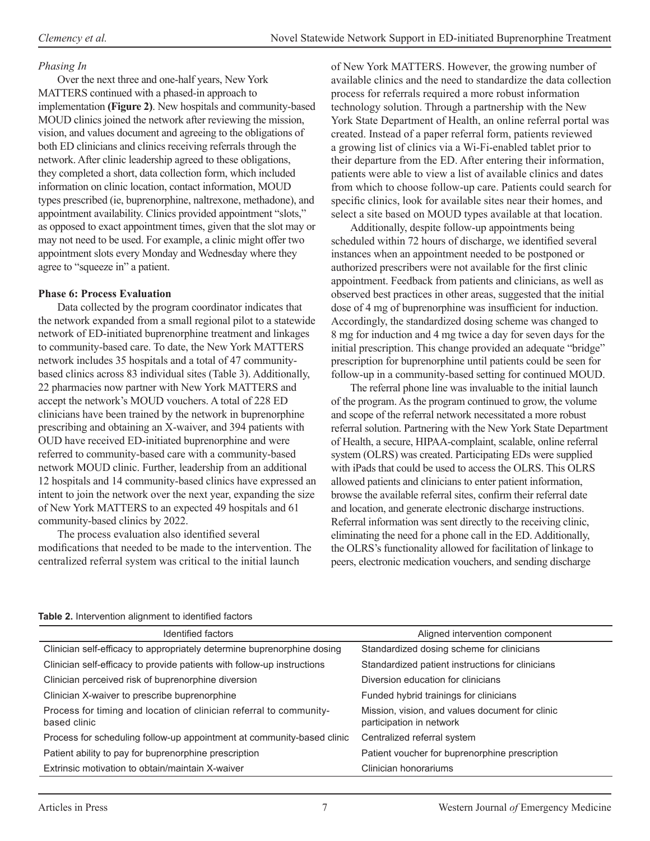# *Phasing In*

Over the next three and one-half years, New York MATTERS continued with a phased-in approach to implementation (Figure 2). New hospitals and community-based MOUD clinics joined the network after reviewing the mission, vision, and values document and agreeing to the obligations of both ED clinicians and clinics receiving referrals through the network. After clinic leadership agreed to these obligations, they completed a short, data collection form, which included information on clinic location, contact information, MOUD types prescribed (ie, buprenorphine, naltrexone, methadone), and appointment availability. Clinics provided appointment "slots," as opposed to exact appointment times, given that the slot may or may not need to be used. For example, a clinic might offer two appointment slots every Monday and Wednesday where they agree to "squeeze in" a patient.

# **Phase 6: Process Evaluation**

Data collected by the program coordinator indicates that the network expanded from a small regional pilot to a statewide network of ED-initiated buprenorphine treatment and linkages to community-based care. To date, the New York MATTERS network includes 35 hospitals and a total of 47 communitybased clinics across 83 individual sites (Table 3). Additionally, 22 pharmacies now partner with New York MATTERS and accept the network's MOUD vouchers. A total of 228 ED clinicians have been trained by the network in buprenorphine prescribing and obtaining an X-waiver, and 394 patients with OUD have received ED-initiated buprenorphine and were referred to community-based care with a community-based network MOUD clinic. Further, leadership from an additional 12 hospitals and 14 community-based clinics have expressed an intent to join the network over the next year, expanding the size of New York MATTERS to an expected 49 hospitals and 61 community-based clinics by 2022.

The process evaluation also identified several modifications that needed to be made to the intervention. The centralized referral system was critical to the initial launch

of New York MATTERS. However, the growing number of available clinics and the need to standardize the data collection process for referrals required a more robust information technology solution. Through a partnership with the New York State Department of Health, an online referral portal was created. Instead of a paper referral form, patients reviewed a growing list of clinics via a Wi-Fi-enabled tablet prior to their departure from the ED. After entering their information, patients were able to view a list of available clinics and dates from which to choose follow-up care. Patients could search for specific clinics, look for available sites near their homes, and select a site based on MOUD types available at that location.

Additionally, despite follow-up appointments being scheduled within 72 hours of discharge, we identified several instances when an appointment needed to be postponed or authorized prescribers were not available for the first clinic appointment. Feedback from patients and clinicians, as well as observed best practices in other areas, suggested that the initial dose of 4 mg of buprenorphine was insufficient for induction. Accordingly, the standardized dosing scheme was changed to 8 mg for induction and 4 mg twice a day for seven days for the initial prescription. This change provided an adequate "bridge" prescription for buprenorphine until patients could be seen for follow-up in a community-based setting for continued MOUD.

The referral phone line was invaluable to the initial launch of the program. As the program continued to grow, the volume and scope of the referral network necessitated a more robust referral solution. Partnering with the New York State Department of Health, a secure, HIPAA-complaint, scalable, online referral system (OLRS) was created. Participating EDs were supplied with iPads that could be used to access the OLRS. This OLRS allowed patients and clinicians to enter patient information, browse the available referral sites, confirm their referral date and location, and generate electronic discharge instructions. Referral information was sent directly to the receiving clinic, eliminating the need for a phone call in the ED. Additionally, the OLRS's functionality allowed for facilitation of linkage to peers, electronic medication vouchers, and sending discharge

| <b>Table 2.</b> Intervention alignment to identified factors                        |                                                                             |  |  |
|-------------------------------------------------------------------------------------|-----------------------------------------------------------------------------|--|--|
| Identified factors                                                                  | Aligned intervention component                                              |  |  |
| Clinician self-efficacy to appropriately determine buprenorphine dosing             | Standardized dosing scheme for clinicians                                   |  |  |
| Clinician self-efficacy to provide patients with follow-up instructions             | Standardized patient instructions for clinicians                            |  |  |
| Clinician perceived risk of buprenorphine diversion                                 | Diversion education for clinicians                                          |  |  |
| Clinician X-waiver to prescribe buprenorphine                                       | Funded hybrid trainings for clinicians                                      |  |  |
| Process for timing and location of clinician referral to community-<br>based clinic | Mission, vision, and values document for clinic<br>participation in network |  |  |
| Process for scheduling follow-up appointment at community-based clinic              | Centralized referral system                                                 |  |  |
| Patient ability to pay for buprenorphine prescription                               | Patient voucher for buprenorphine prescription                              |  |  |
| Extrinsic motivation to obtain/maintain X-waiver                                    | Clinician honorariums                                                       |  |  |

#### Table 2. Intervention alignment to identified factors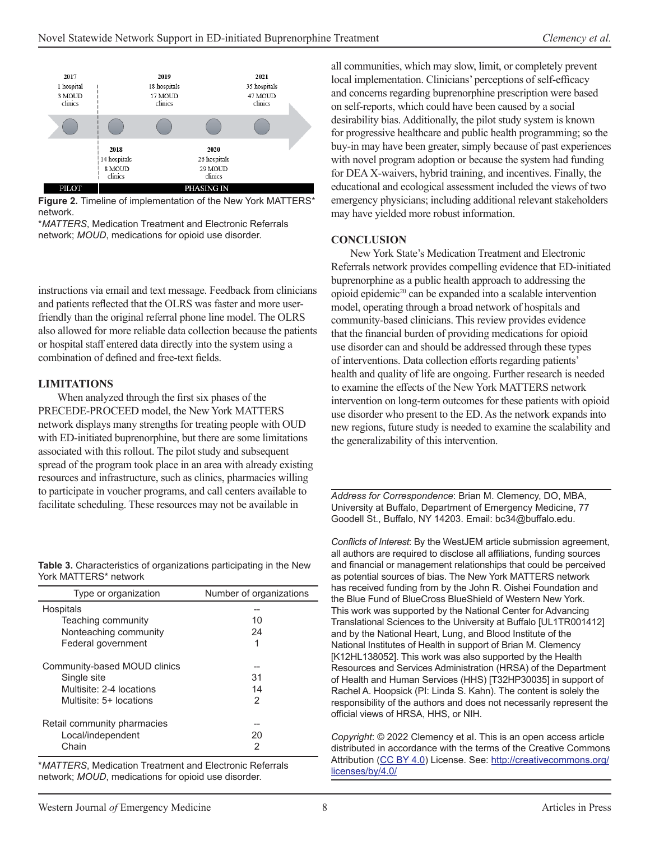

**Figure 2.** Timeline of implementation of the New York MATTERS\* network.

*\*MATTERS*, Medication Treatment and Electronic Referrals network; MOUD, medications for opioid use disorder.

instructions via email and text message. Feedback from clinicians and patients reflected that the OLRS was faster and more userfriendly than the original referral phone line model. The OLRS also allowed for more reliable data collection because the patients or hospital staff entered data directly into the system using a combination of defined and free-text fields.

#### **LIMITATIONS**

When analyzed through the first six phases of the PRECEDE-PROCEED model, the New York MATTERS network displays many strengths for treating people with OUD with ED-initiated buprenorphine, but there are some limitations associated with this rollout. The pilot study and subsequent spread of the program took place in an area with already existing resources and infrastructure, such as clinics, pharmacies willing to participate in voucher programs, and call centers available to facilitate scheduling. These resources may not be available in

Table 3. Characteristics of organizations participating in the New York MATTERS\* network

| Type or organization         | Number of organizations |
|------------------------------|-------------------------|
| Hospitals                    |                         |
| Teaching community           | 10                      |
| Nonteaching community        | 24                      |
| Federal government           | 1                       |
| Community-based MOUD clinics |                         |
| Single site                  | 31                      |
| Multisite: 2-4 locations     | 14                      |
| Multisite: 5+ locations      | 2                       |
| Retail community pharmacies  |                         |
| Local/independent            | 20                      |
| Chain                        | 2                       |

*\*MATTERS*, Medication Treatment and Electronic Referrals network; MOUD, medications for opioid use disorder.

all communities, which may slow, limit, or completely prevent local implementation. Clinicians' perceptions of self-efficacy and concerns regarding buprenorphine prescription were based on self-reports, which could have been caused by a social desirability bias. Additionally, the pilot study system is known for progressive healthcare and public health programming; so the buy-in may have been greater, simply because of past experiences with novel program adoption or because the system had funding for DEA X-waivers, hybrid training, and incentives. Finally, the educational and ecological assessment included the views of two emergency physicians; including additional relevant stakeholders may have yielded more robust information.

#### **CONCLUSION**

New York State's Medication Treatment and Electronic Referrals network provides compelling evidence that ED-initiated buprenorphine as a public health approach to addressing the opioid epidemic20 can be expanded into a scalable intervention model, operating through a broad network of hospitals and community-based clinicians. This review provides evidence that the financial burden of providing medications for opioid use disorder can and should be addressed through these types of interventions. Data collection efforts regarding patients' health and quality of life are ongoing. Further research is needed to examine the effects of the New York MATTERS network intervention on long-term outcomes for these patients with opioid use disorder who present to the ED. As the network expands into new regions, future study is needed to examine the scalability and the generalizability of this intervention.

Address for Correspondence: Brian M. Clemency, DO, MBA, University at Buffalo, Department of Emergency Medicine, 77 Goodell St., Buffalo, NY 14203. Email: bc34@buffalo.edu.

Conflicts of Interest: By the WestJEM article submission agreement, all authors are required to disclose all affiliations, funding sources and financial or management relationships that could be perceived as potential sources of bias. The New York MATTERS network has received funding from by the John R. Oishei Foundation and the Blue Fund of BlueCross BlueShield of Western New York. This work was supported by the National Center for Advancing Translational Sciences to the University at Buffalo [UL1TR001412] and by the National Heart, Lung, and Blood Institute of the National Institutes of Health in support of Brian M. Clemency [K12HL138052]. This work was also supported by the Health Resources and Services Administration (HRSA) of the Department of Health and Human Services (HHS) [T32HP30035] in support of Rachel A. Hoopsick (PI: Linda S. Kahn). The content is solely the responsibility of the authors and does not necessarily represent the official views of HRSA, HHS, or NIH.

*Copyright*: © 2022 Clemency et al. This is an open access article distributed in accordance with the terms of the Creative Commons Attribution (CC BY 4.0) License. See: http://creativecommons.org/ licenses/by/4.0/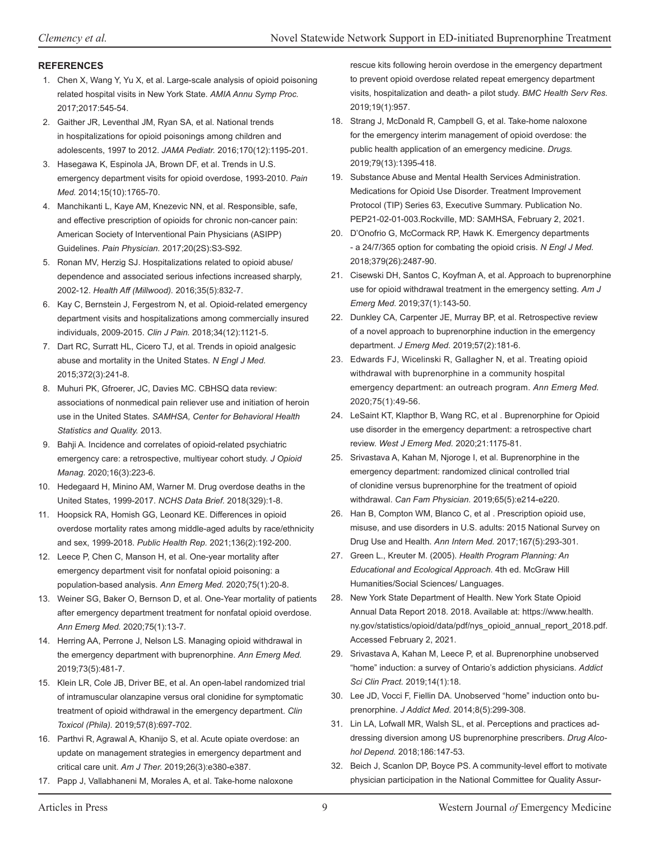#### **REFERENCES**

- 1. Chen X, Wang Y, Yu X, et al. Large-scale analysis of opioid poisoning related hospital visits in New York State. AMIA Annu Symp Proc. 2017;2017:545-54.
- 2. Gaither JR, Leventhal JM, Ryan SA, et al. National trends in hospitalizations for opioid poisonings among children and adolescents, 1997 to 2012. JAMA Pediatr. 2016;170(12):1195-201.
- 3. Hasegawa K, Espinola JA, Brown DF, et al. Trends in U.S. emergency department visits for opioid overdose, 1993-2010. Pain Med. 2014;15(10):1765-70.
- 4. Manchikanti L, Kaye AM, Knezevic NN, et al. Responsible, safe, and effective prescription of opioids for chronic non-cancer pain: American Society of Interventional Pain Physicians (ASIPP) Guidelines. Pain Physician. 2017;20(2S):S3-S92.
- 5. Ronan MV, Herzig SJ. Hospitalizations related to opioid abuse/ dependence and associated serious infections increased sharply, 2002-12. Health Aff (Millwood). 2016;35(5):832-7.
- 6. Kay C, Bernstein J, Fergestrom N, et al. Opioid-related emergency department visits and hospitalizations among commercially insured individuals, 2009-2015. Clin J Pain. 2018;34(12):1121-5.
- 7. Dart RC, Surratt HL, Cicero TJ, et al. Trends in opioid analgesic abuse and mortality in the United States. N Engl J Med. 2015;372(3):241-8.
- 8. Muhuri PK, Gfroerer, JC, Davies MC. CBHSQ data review: associations of nonmedical pain reliever use and initiation of heroin use in the United States. SAMHSA, Center for Behavioral Health Statistics and Quality. 2013.
- 9. Bahji A. Incidence and correlates of opioid-related psychiatric emergency care: a retrospective, multiyear cohort study. *J Opioid Manag.* 2020;16(3):223-6.
- 10. Hedegaard H, Minino AM, Warner M. Drug overdose deaths in the United States, 1999-2017. NCHS Data Brief. 2018(329):1-8.
- 11. Hoopsick RA, Homish GG, Leonard KE. Differences in opioid overdose mortality rates among middle-aged adults by race/ethnicity and sex, 1999-2018. Public Health Rep. 2021;136(2):192-200.
- 12. Leece P, Chen C, Manson H, et al. One-year mortality after emergency department visit for nonfatal opioid poisoning: a population-based analysis. Ann Emerg Med. 2020;75(1):20-8.
- 13. Weiner SG, Baker O, Bernson D, et al. One-Year mortality of patients after emergency department treatment for nonfatal opioid overdose. Ann Emerg Med. 2020;75(1):13-7.
- 14. Herring AA, Perrone J, Nelson LS. Managing opioid withdrawal in the emergency department with buprenorphine. Ann Emerg Med. 2019;73(5):481-7.
- 15. Klein LR, Cole JB, Driver BE, et al. An open-label randomized trial of intramuscular olanzapine versus oral clonidine for symptomatic treatment of opioid withdrawal in the emergency department. Clin Toxicol (Phila). 2019;57(8):697-702.
- 16. Parthvi R, Agrawal A, Khanijo S, et al. Acute opiate overdose: an update on management strategies in emergency department and critical care unit. Am J Ther. 2019;26(3):e380-e387.
- 17. Papp J, Vallabhaneni M, Morales A, et al. Take-home naloxone

rescue kits following heroin overdose in the emergency department to prevent opioid overdose related repeat emergency department visits, hospitalization and death- a pilot study. BMC Health Serv Res. 2019;19(1):957.

- 18. Strang J, McDonald R, Campbell G, et al. Take-home naloxone for the emergency interim management of opioid overdose: the public health application of an emergency medicine. Drugs. 2019;79(13):1395-418.
- 19. Substance Abuse and Mental Health Services Administration. Medications for Opioid Use Disorder. Treatment Improvement Protocol (TIP) Series 63, Executive Summary. Publication No. PEP21-02-01-003. Rockville, MD: SAMHSA, February 2, 2021.
- 20. D'Onofrio G, McCormack RP, Hawk K. Emergency departments - a 24/7/365 option for combating the opioid crisis. N Engl J Med. 2018;379(26):2487-90.
- 21. Cisewski DH, Santos C, Koyfman A, et al. Approach to buprenorphine use for opioid withdrawal treatment in the emergency setting. Am J *Emerg Med.* 2019;37(1):143-50.
- 22. Dunkley CA, Carpenter JE, Murray BP, et al. Retrospective review of a novel approach to buprenorphine induction in the emergency department. *J Emerg Med.* 2019;57(2):181-6.
- 23. Edwards FJ, Wicelinski R, Gallagher N, et al. Treating opioid withdrawal with buprenorphine in a community hospital emergency department: an outreach program. Ann Emerg Med. 2020;75(1):49-56.
- 24. LeSaint KT, Klapthor B, Wang RC, et al . Buprenorphine for Opioid use disorder in the emergency department: a retrospective chart review. West J Emerg Med. 2020;21:1175-81.
- 25. Srivastava A, Kahan M, Njoroge I, et al. Buprenorphine in the emergency department: randomized clinical controlled trial of clonidine versus buprenorphine for the treatment of opioid withdrawal. *Can Fam Physician.* 2019;65(5):e214-e220.
- 26. Han B, Compton WM, Blanco C, et al . Prescription opioid use, misuse, and use disorders in U.S. adults: 2015 National Survey on Drug Use and Health. Ann Intern Med. 2017;167(5):293-301.
- 27. Green L., Kreuter M. (2005). Health Program Planning: An **Educational and Ecological Approach. 4th ed. McGraw Hill** Humanities/Social Sciences/ Languages.
- 28. New York State Department of Health. New York State Opioid Annual Data Report 2018. 2018. Available at: https://www.health. ny.gov/statistics/opioid/data/pdf/nys\_opioid\_annual\_report\_2018.pdf. Accessed February 2, 2021.
- 29. Srivastava A, Kahan M, Leece P, et al. Buprenorphine unobserved "home" induction: a survey of Ontario's addiction physicians. Addict *Sci Clin Pract.* 2019;14(1):18.
- 30. Lee JD, Vocci F, Fiellin DA. Unobserved "home" induction onto bu prenorphine. *J Addict Med.* 2014;8(5):299-308.
- 31. Lin LA, Lofwall MR, Walsh SL, et al. Perceptions and practices addressing diversion among US buprenorphine prescribers. Drug Alco*hol Depend.* 2018;186:147-53.
- 32. Beich J, Scanlon DP, Boyce PS. A community-level effort to motivate physician participation in the National Committee for Quality Assur-